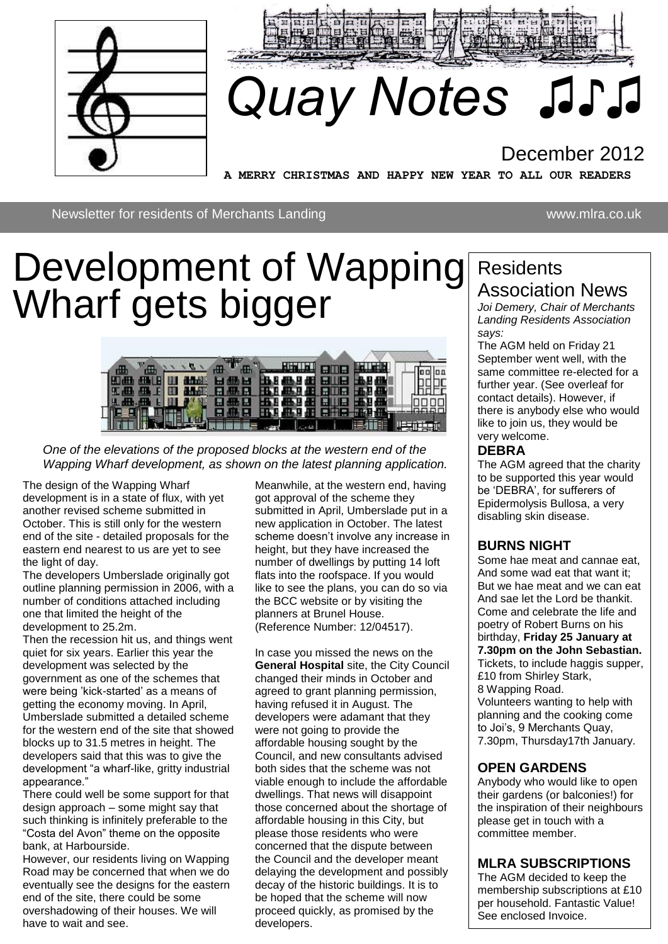



# *Quay Notes ♫♪♫*

## December 2012

**A MERRY CHRISTMAS AND HAPPY NEW YEAR TO ALL OUR READERS** 

Newsletter for residents of Merchants Landing www.mlra.co.uk

## Development of Wapping Wharf gets bigger



*One of the elevations of the proposed blocks at the western end of the Wapping Wharf development, as shown on the latest planning application.* 

The design of the Wapping Wharf . development is in a state of flux, with yet another revised scheme submitted in October. This is still only for the western end of the site - detailed proposals for the eastern end nearest to us are yet to see the light of day.

The developers Umberslade originally got outline planning permission in 2006, with a number of conditions attached including one that limited the height of the development to 25.2m.

Then the recession hit us, and things went quiet for six years. Earlier this year the development was selected by the government as one of the schemes that were being 'kick-started' as a means of getting the economy moving. In April, Umberslade submitted a detailed scheme for the western end of the site that showed blocks up to 31.5 metres in height. The developers said that this was to give the development "a wharf-like, gritty industrial appearance."

There could well be some support for that design approach – some might say that such thinking is infinitely preferable to the "Costa del Avon" theme on the opposite bank, at Harbourside.

However, our residents living on Wapping Road may be concerned that when we do eventually see the designs for the eastern end of the site, there could be some overshadowing of their houses. We will have to wait and see.

Meanwhile, at the western end, having got approval of the scheme they submitted in April, Umberslade put in a new application in October. The latest scheme doesn't involve any increase in height, but they have increased the number of dwellings by putting 14 loft flats into the roofspace. If you would like to see the plans, you can do so via the BCC website or by visiting the planners at Brunel House. (Reference Number: 12/04517).

In case you missed the news on the **General Hospital** site, the City Council changed their minds in October and agreed to grant planning permission, having refused it in August. The developers were adamant that they were not going to provide the affordable housing sought by the Council, and new consultants advised both sides that the scheme was not viable enough to include the affordable dwellings. That news will disappoint those concerned about the shortage of affordable housing in this City, but please those residents who were concerned that the dispute between the Council and the developer meant delaying the development and possibly decay of the historic buildings. It is to be hoped that the scheme will now proceed quickly, as promised by the developers.

## **Residents** Association News

*Joi Demery, Chair of Merchants Landing Residents Association says:*

The AGM held on Friday 21 September went well, with the same committee re-elected for a further year. (See overleaf for contact details). However, if there is anybody else who would like to join us, they would be very welcome.

#### **DEBRA**

The AGM agreed that the charity to be supported this year would be 'DEBRA', for sufferers of Epidermolysis Bullosa, a very disabling skin disease.

#### **BURNS NIGHT**

Some hae meat and cannae eat, And some wad eat that want it; But we hae meat and we can eat And sae let the Lord be thankit. Come and celebrate the life and poetry of Robert Burns on his birthday, **Friday 25 January at 7.30pm on the John Sebastian.** Tickets, to include haggis supper, £10 from Shirley Stark, 8 Wapping Road. Volunteers wanting to help with planning and the cooking come to Joi's, 9 Merchants Quay, 7.30pm, Thursday17th January.

#### **OPEN GARDENS**

Anybody who would like to open their gardens (or balconies!) for the inspiration of their neighbours please get in touch with a committee member.

#### **MLRA SUBSCRIPTIONS**

The AGM decided to keep the membership subscriptions at £10 per household. Fantastic Value! See enclosed Invoice.